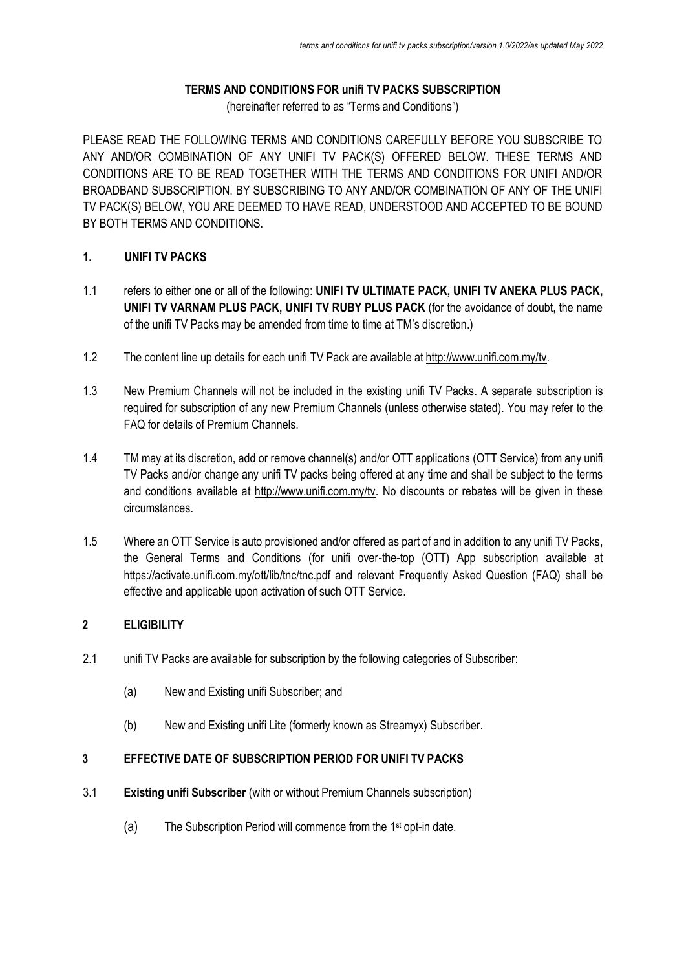# **TERMS AND CONDITIONS FOR unifi TV PACKS SUBSCRIPTION**

(hereinafter referred to as "Terms and Conditions")

PLEASE READ THE FOLLOWING TERMS AND CONDITIONS CAREFULLY BEFORE YOU SUBSCRIBE TO ANY AND/OR COMBINATION OF ANY UNIFI TV PACK(S) OFFERED BELOW. THESE TERMS AND CONDITIONS ARE TO BE READ TOGETHER WITH THE TERMS AND CONDITIONS FOR UNIFI AND/OR BROADBAND SUBSCRIPTION. BY SUBSCRIBING TO ANY AND/OR COMBINATION OF ANY OF THE UNIFI TV PACK(S) BELOW, YOU ARE DEEMED TO HAVE READ, UNDERSTOOD AND ACCEPTED TO BE BOUND BY BOTH TERMS AND CONDITIONS.

# **1. UNIFI TV PACKS**

- 1.1 refers to either one or all of the following: **UNIFI TV ULTIMATE PACK, UNIFI TV ANEKA PLUS PACK, UNIFI TV VARNAM PLUS PACK, UNIFI TV RUBY PLUS PACK** (for the avoidance of doubt, the name of the unifi TV Packs may be amended from time to time at TM's discretion.)
- 1.2 The content line up details for each unifi TV Pack are available a[t http://www.unifi.com.my/tv.](http://www.unifi.com.my/tv)
- 1.3 New Premium Channels will not be included in the existing unifi TV Packs. A separate subscription is required for subscription of any new Premium Channels (unless otherwise stated). You may refer to the FAQ for details of Premium Channels.
- 1.4 TM may at its discretion, add or remove channel(s) and/or OTT applications (OTT Service) from any unifing TV Packs and/or change any unifi TV packs being offered at any time and shall be subject to the terms and conditions available at [http://www.unifi.com.my/tv.](http://www.unifi.com.my/tv) No discounts or rebates will be given in these circumstances.
- 1.5 Where an OTT Service is auto provisioned and/or offered as part of and in addition to any unifi TV Packs, the General Terms and Conditions (for unifi over-the-top (OTT) App subscription available at <https://activate.unifi.com.my/ott/lib/tnc/tnc.pdf> and relevant Frequently Asked Question (FAQ) shall be effective and applicable upon activation of such OTT Service.

# **2 ELIGIBILITY**

- 2.1 unifi TV Packs are available for subscription by the following categories of Subscriber:
	- (a) New and Existing unifi Subscriber; and
	- (b) New and Existing unifi Lite (formerly known as Streamyx) Subscriber.

# **3 EFFECTIVE DATE OF SUBSCRIPTION PERIOD FOR UNIFI TV PACKS**

- 3.1 **Existing unifi Subscriber** (with or without Premium Channels subscription)
	- (a) The Subscription Period will commence from the 1st opt-in date.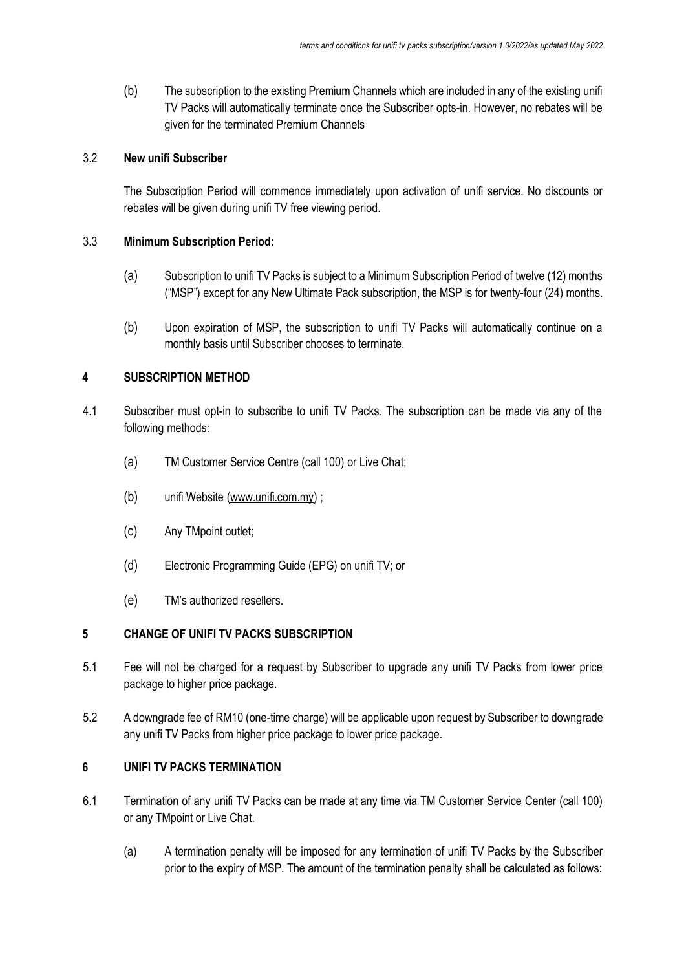(b) The subscription to the existing Premium Channels which are included in any of the existing unifi TV Packs will automatically terminate once the Subscriber opts-in. However, no rebates will be given for the terminated Premium Channels

#### 3.2 **New unifi Subscriber**

The Subscription Period will commence immediately upon activation of unifi service. No discounts or rebates will be given during unifi TV free viewing period.

#### 3.3 **Minimum Subscription Period:**

- (a) Subscription to unifi TV Packs is subject to a Minimum Subscription Period of twelve (12) months ("MSP") except for any New Ultimate Pack subscription, the MSP is for twenty-four (24) months.
- (b) Upon expiration of MSP, the subscription to unifi TV Packs will automatically continue on a monthly basis until Subscriber chooses to terminate.

#### **4 SUBSCRIPTION METHOD**

- 4.1 Subscriber must opt-in to subscribe to unifi TV Packs. The subscription can be made via any of the following methods:
	- (a) TM Customer Service Centre (call 100) or Live Chat;
	- (b) unifi Website [\(www.unifi.com.my\)](http://www.unifi.com.my/) ;
	- (c) Any TMpoint outlet;
	- (d) Electronic Programming Guide (EPG) on unifi TV; or
	- (e) TM's authorized resellers.

#### **5 CHANGE OF UNIFI TV PACKS SUBSCRIPTION**

- 5.1 Fee will not be charged for a request by Subscriber to upgrade any unifi TV Packs from lower price package to higher price package.
- 5.2 A downgrade fee of RM10 (one-time charge) will be applicable upon request by Subscriber to downgrade any unifi TV Packs from higher price package to lower price package.

# **6 UNIFI TV PACKS TERMINATION**

- 6.1 Termination of any unifi TV Packs can be made at any time via TM Customer Service Center (call 100) or any TMpoint or Live Chat.
	- (a) A termination penalty will be imposed for any termination of unifi TV Packs by the Subscriber prior to the expiry of MSP. The amount of the termination penalty shall be calculated as follows: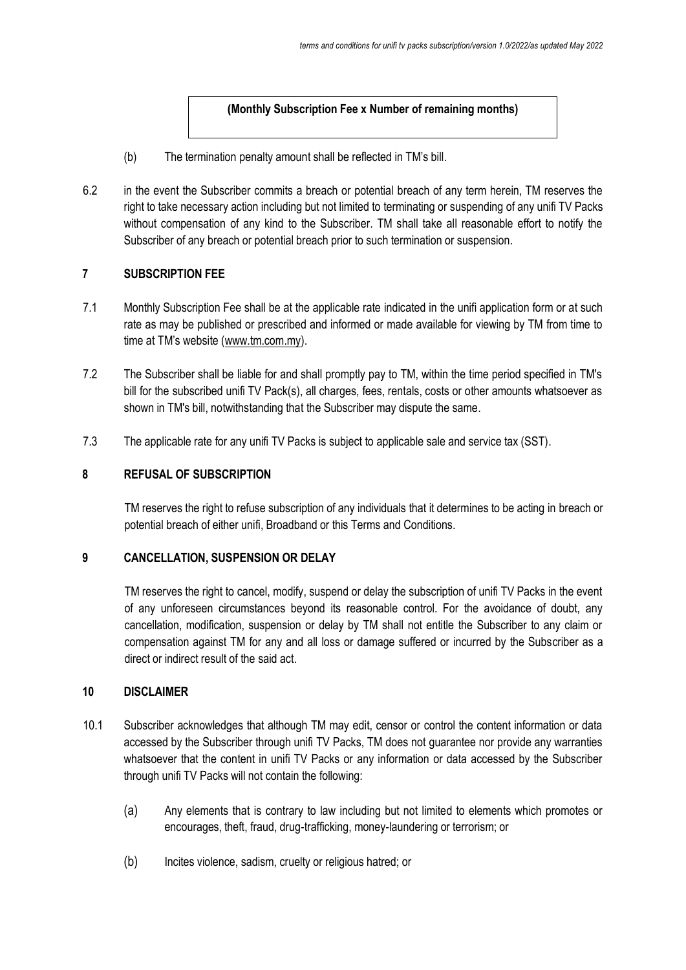# **(Monthly Subscription Fee x Number of remaining months)**

- (b) The termination penalty amount shall be reflected in TM's bill.
- 6.2 in the event the Subscriber commits a breach or potential breach of any term herein, TM reserves the right to take necessary action including but not limited to terminating or suspending of any unifi TV Packs without compensation of any kind to the Subscriber. TM shall take all reasonable effort to notify the Subscriber of any breach or potential breach prior to such termination or suspension.

# **7 SUBSCRIPTION FEE**

- 7.1 Monthly Subscription Fee shall be at the applicable rate indicated in the unifi application form or at such rate as may be published or prescribed and informed or made available for viewing by TM from time to time at TM's website ([www.tm.com.my\)](http://www.tm.com.my/).
- 7.2 The Subscriber shall be liable for and shall promptly pay to TM, within the time period specified in TM's bill for the subscribed unifi TV Pack(s), all charges, fees, rentals, costs or other amounts whatsoever as shown in TM's bill, notwithstanding that the Subscriber may dispute the same.
- 7.3 The applicable rate for any unifi TV Packs is subject to applicable sale and service tax (SST).

# **8 REFUSAL OF SUBSCRIPTION**

TM reserves the right to refuse subscription of any individuals that it determines to be acting in breach or potential breach of either unifi, Broadband or this Terms and Conditions.

#### **9 CANCELLATION, SUSPENSION OR DELAY**

TM reserves the right to cancel, modify, suspend or delay the subscription of unifi TV Packs in the event of any unforeseen circumstances beyond its reasonable control. For the avoidance of doubt, any cancellation, modification, suspension or delay by TM shall not entitle the Subscriber to any claim or compensation against TM for any and all loss or damage suffered or incurred by the Subscriber as a direct or indirect result of the said act.

#### **10 DISCLAIMER**

- 10.1 Subscriber acknowledges that although TM may edit, censor or control the content information or data accessed by the Subscriber through unifi TV Packs, TM does not guarantee nor provide any warranties whatsoever that the content in unifi TV Packs or any information or data accessed by the Subscriber through unifi TV Packs will not contain the following:
	- (a) Any elements that is contrary to law including but not limited to elements which promotes or encourages, theft, fraud, drug-trafficking, money-laundering or terrorism; or
	- (b) Incites violence, sadism, cruelty or religious hatred; or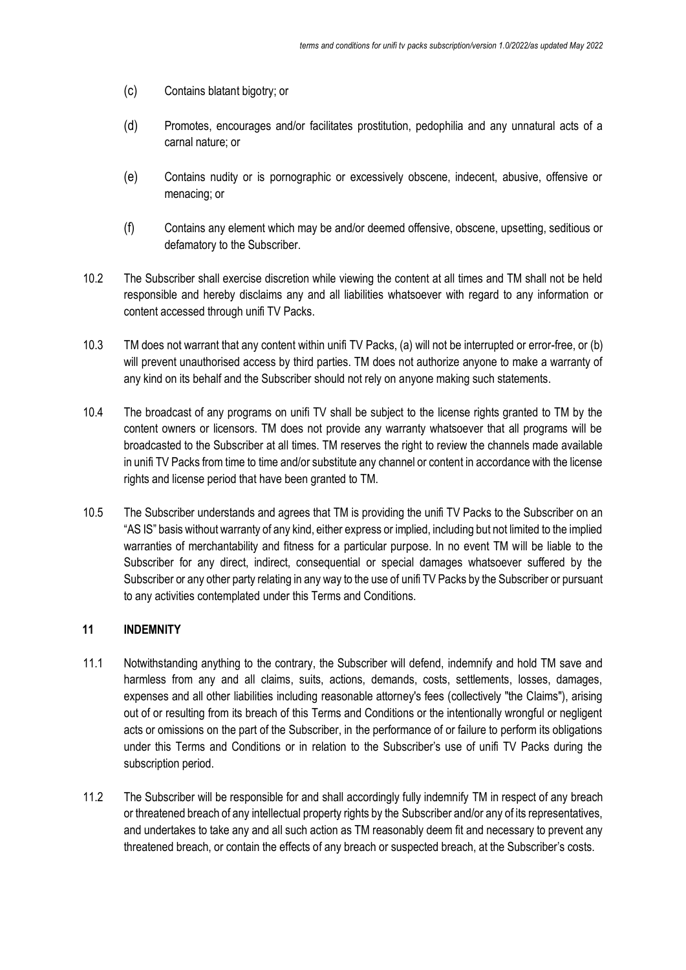- (c) Contains blatant bigotry; or
- (d) Promotes, encourages and/or facilitates prostitution, pedophilia and any unnatural acts of a carnal nature; or
- (e) Contains nudity or is pornographic or excessively obscene, indecent, abusive, offensive or menacing; or
- (f) Contains any element which may be and/or deemed offensive, obscene, upsetting, seditious or defamatory to the Subscriber.
- 10.2 The Subscriber shall exercise discretion while viewing the content at all times and TM shall not be held responsible and hereby disclaims any and all liabilities whatsoever with regard to any information or content accessed through unifi TV Packs.
- 10.3 TM does not warrant that any content within unifi TV Packs, (a) will not be interrupted or error-free, or (b) will prevent unauthorised access by third parties. TM does not authorize anyone to make a warranty of any kind on its behalf and the Subscriber should not rely on anyone making such statements.
- 10.4 The broadcast of any programs on unifi TV shall be subject to the license rights granted to TM by the content owners or licensors. TM does not provide any warranty whatsoever that all programs will be broadcasted to the Subscriber at all times. TM reserves the right to review the channels made available in unifi TV Packs from time to time and/or substitute any channel or content in accordance with the license rights and license period that have been granted to TM.
- 10.5 The Subscriber understands and agrees that TM is providing the unifi TV Packs to the Subscriber on an "AS IS" basis without warranty of any kind, either express or implied, including but not limited to the implied warranties of merchantability and fitness for a particular purpose. In no event TM will be liable to the Subscriber for any direct, indirect, consequential or special damages whatsoever suffered by the Subscriber or any other party relating in any way to the use of unifi TV Packs by the Subscriber or pursuant to any activities contemplated under this Terms and Conditions.

# **11 INDEMNITY**

- 11.1 Notwithstanding anything to the contrary, the Subscriber will defend, indemnify and hold TM save and harmless from any and all claims, suits, actions, demands, costs, settlements, losses, damages, expenses and all other liabilities including reasonable attorney's fees (collectively "the Claims"), arising out of or resulting from its breach of this Terms and Conditions or the intentionally wrongful or negligent acts or omissions on the part of the Subscriber, in the performance of or failure to perform its obligations under this Terms and Conditions or in relation to the Subscriber's use of unifi TV Packs during the subscription period.
- 11.2 The Subscriber will be responsible for and shall accordingly fully indemnify TM in respect of any breach or threatened breach of any intellectual property rights by the Subscriber and/or any of its representatives, and undertakes to take any and all such action as TM reasonably deem fit and necessary to prevent any threatened breach, or contain the effects of any breach or suspected breach, at the Subscriber's costs.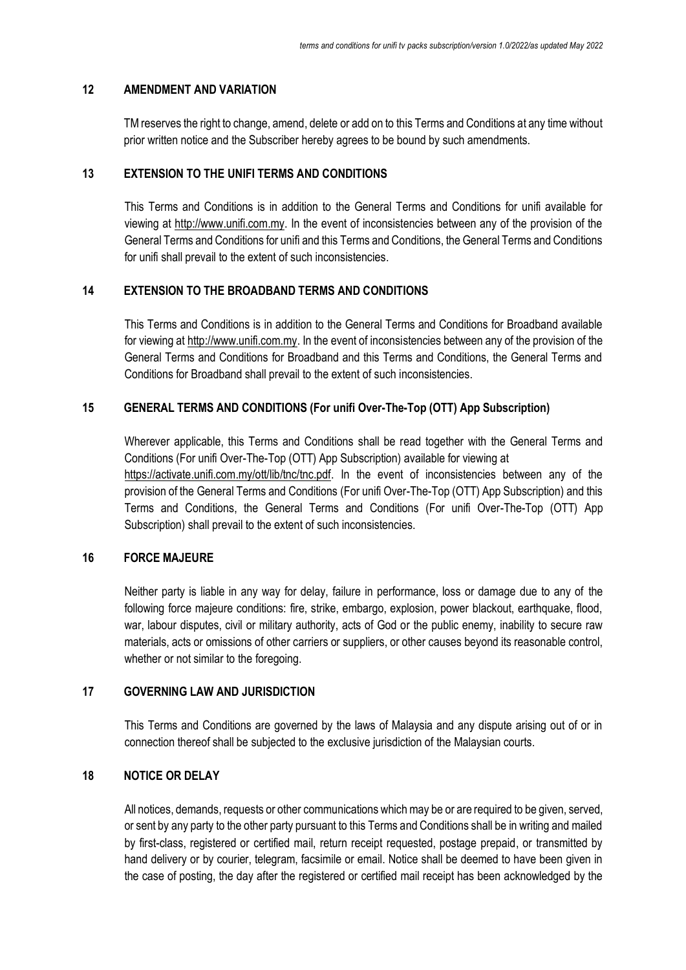# **12 AMENDMENT AND VARIATION**

TM reserves the right to change, amend, delete or add on to this Terms and Conditions at any time without prior written notice and the Subscriber hereby agrees to be bound by such amendments.

#### **13 EXTENSION TO THE UNIFI TERMS AND CONDITIONS**

This Terms and Conditions is in addition to the General Terms and Conditions for unifi available for viewing at [http://www.unifi.com.my.](http://www.unifi.com.my/) In the event of inconsistencies between any of the provision of the General Terms and Conditions for unifi and this Terms and Conditions, the General Terms and Conditions for unifi shall prevail to the extent of such inconsistencies.

#### **14 EXTENSION TO THE BROADBAND TERMS AND CONDITIONS**

This Terms and Conditions is in addition to the General Terms and Conditions for Broadband available for viewing at [http://www.unifi.com.my.](http://www.unifi.com.my/) In the event of inconsistencies between any of the provision of the General Terms and Conditions for Broadband and this Terms and Conditions, the General Terms and Conditions for Broadband shall prevail to the extent of such inconsistencies.

#### **15 GENERAL TERMS AND CONDITIONS (For unifi Over-The-Top (OTT) App Subscription)**

Wherever applicable, this Terms and Conditions shall be read together with the General Terms and Conditions (For unifi Over-The-Top (OTT) App Subscription) available for viewing at [https://activate.unifi.com.my/ott/lib/tnc/tnc.pdf.](https://activate.unifi.com.my/ott/lib/tnc/tnc.pdf) In the event of inconsistencies between any of the provision of the General Terms and Conditions (For unifi Over-The-Top (OTT) App Subscription) and this Terms and Conditions, the General Terms and Conditions (For unifi Over-The-Top (OTT) App Subscription) shall prevail to the extent of such inconsistencies.

#### **16 FORCE MAJEURE**

Neither party is liable in any way for delay, failure in performance, loss or damage due to any of the following force majeure conditions: fire, strike, embargo, explosion, power blackout, earthquake, flood, war, labour disputes, civil or military authority, acts of God or the public enemy, inability to secure raw materials, acts or omissions of other carriers or suppliers, or other causes beyond its reasonable control, whether or not similar to the foregoing.

#### **17 GOVERNING LAW AND JURISDICTION**

This Terms and Conditions are governed by the laws of Malaysia and any dispute arising out of or in connection thereof shall be subjected to the exclusive jurisdiction of the Malaysian courts.

# **18 NOTICE OR DELAY**

All notices, demands, requests or other communications which may be or are required to be given, served, or sent by any party to the other party pursuant to this Terms and Conditions shall be in writing and mailed by first-class, registered or certified mail, return receipt requested, postage prepaid, or transmitted by hand delivery or by courier, telegram, facsimile or email. Notice shall be deemed to have been given in the case of posting, the day after the registered or certified mail receipt has been acknowledged by the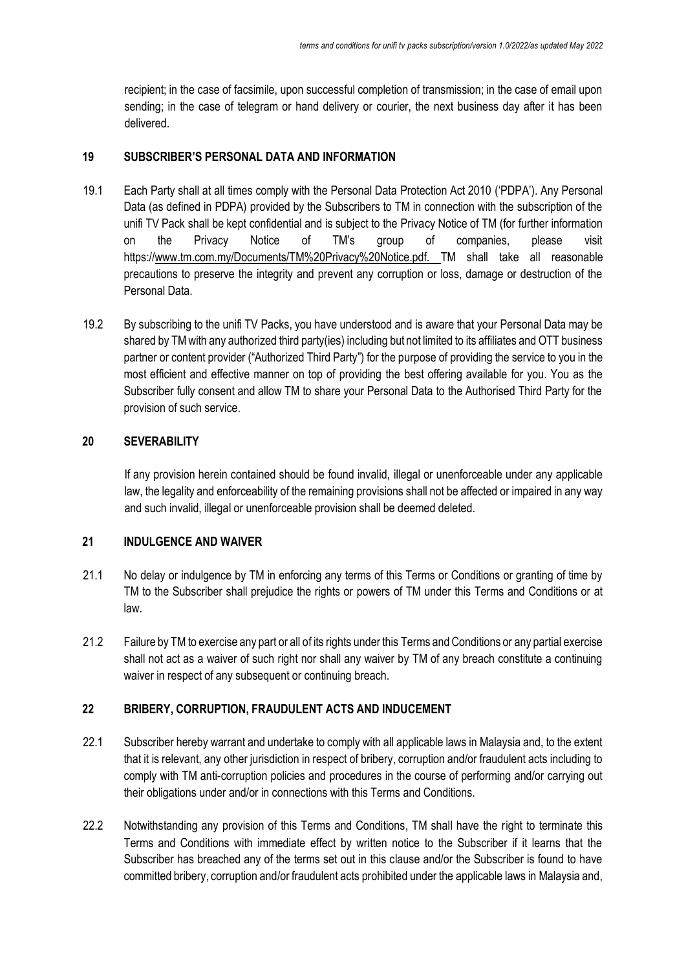recipient; in the case of facsimile, upon successful completion of transmission; in the case of email upon sending; in the case of telegram or hand delivery or courier, the next business day after it has been delivered.

#### **19 SUBSCRIBER'S PERSONAL DATA AND INFORMATION**

- 19.1 Each Party shall at all times comply with the Personal Data Protection Act 2010 ('PDPA'). Any Personal Data (as defined in PDPA) provided by the Subscribers to TM in connection with the subscription of the unifi TV Pack shall be kept confidential and is subject to the Privacy Notice of TM (for further information on the Privacy Notice of TM's group of companies, please visit https:/[/www.tm.com.my/Documents/TM%20Privacy%20Notice.pdf. T](http://www.tm.com.my/Documents/TM%20Privacy%20Notice.pdf.)M shall take all reasonable precautions to preserve the integrity and prevent any corruption or loss, damage or destruction of the Personal Data.
- 19.2 By subscribing to the unifi TV Packs, you have understood and is aware that your Personal Data may be shared by TM with any authorized third party(ies) including but not limited to its affiliates and OTT business partner or content provider ("Authorized Third Party") for the purpose of providing the service to you in the most efficient and effective manner on top of providing the best offering available for you. You as the Subscriber fully consent and allow TM to share your Personal Data to the Authorised Third Party for the provision of such service.

#### **20 SEVERABILITY**

If any provision herein contained should be found invalid, illegal or unenforceable under any applicable law, the legality and enforceability of the remaining provisions shall not be affected or impaired in any way and such invalid, illegal or unenforceable provision shall be deemed deleted.

# **21 INDULGENCE AND WAIVER**

- 21.1 No delay or indulgence by TM in enforcing any terms of this Terms or Conditions or granting of time by TM to the Subscriber shall prejudice the rights or powers of TM under this Terms and Conditions or at law.
- 21.2 Failure by TM to exercise any part or all of its rights under this Terms and Conditions or any partial exercise shall not act as a waiver of such right nor shall any waiver by TM of any breach constitute a continuing waiver in respect of any subsequent or continuing breach.

# **22 BRIBERY, CORRUPTION, FRAUDULENT ACTS AND INDUCEMENT**

- 22.1 Subscriber hereby warrant and undertake to comply with all applicable laws in Malaysia and, to the extent that it is relevant, any other jurisdiction in respect of bribery, corruption and/or fraudulent acts including to comply with TM anti-corruption policies and procedures in the course of performing and/or carrying out their obligations under and/or in connections with this Terms and Conditions.
- 22.2 Notwithstanding any provision of this Terms and Conditions, TM shall have the right to terminate this Terms and Conditions with immediate effect by written notice to the Subscriber if it learns that the Subscriber has breached any of the terms set out in this clause and/or the Subscriber is found to have committed bribery, corruption and/or fraudulent acts prohibited under the applicable laws in Malaysia and,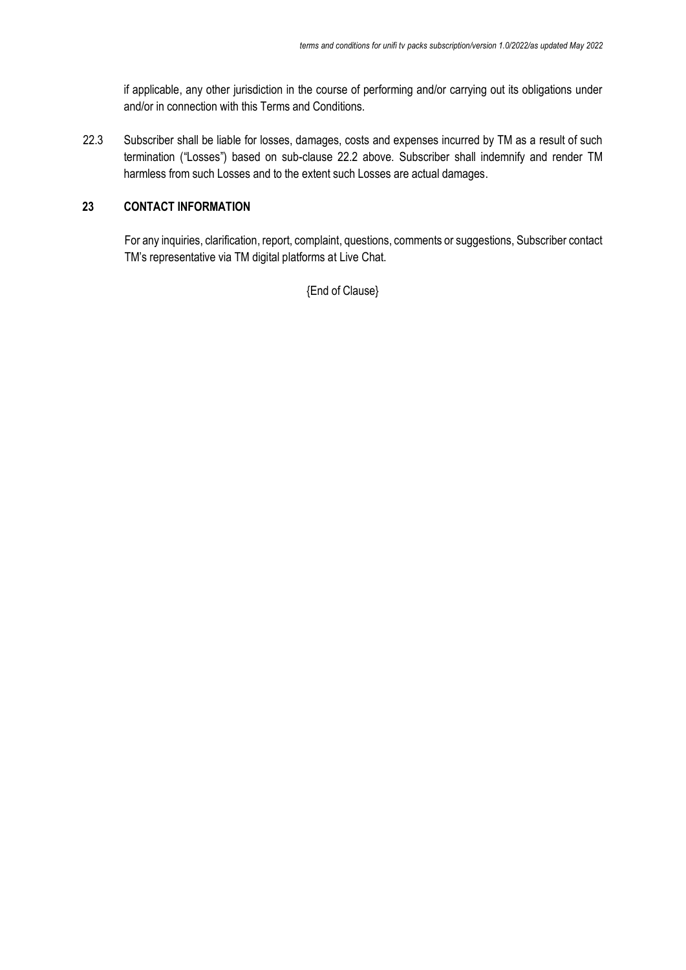if applicable, any other jurisdiction in the course of performing and/or carrying out its obligations under and/or in connection with this Terms and Conditions.

22.3 Subscriber shall be liable for losses, damages, costs and expenses incurred by TM as a result of such termination ("Losses") based on sub-clause 22.2 above. Subscriber shall indemnify and render TM harmless from such Losses and to the extent such Losses are actual damages.

# **23 CONTACT INFORMATION**

For any inquiries, clarification, report, complaint, questions, comments or suggestions, Subscriber contact TM's representative via TM digital platforms at Live Chat.

{End of Clause}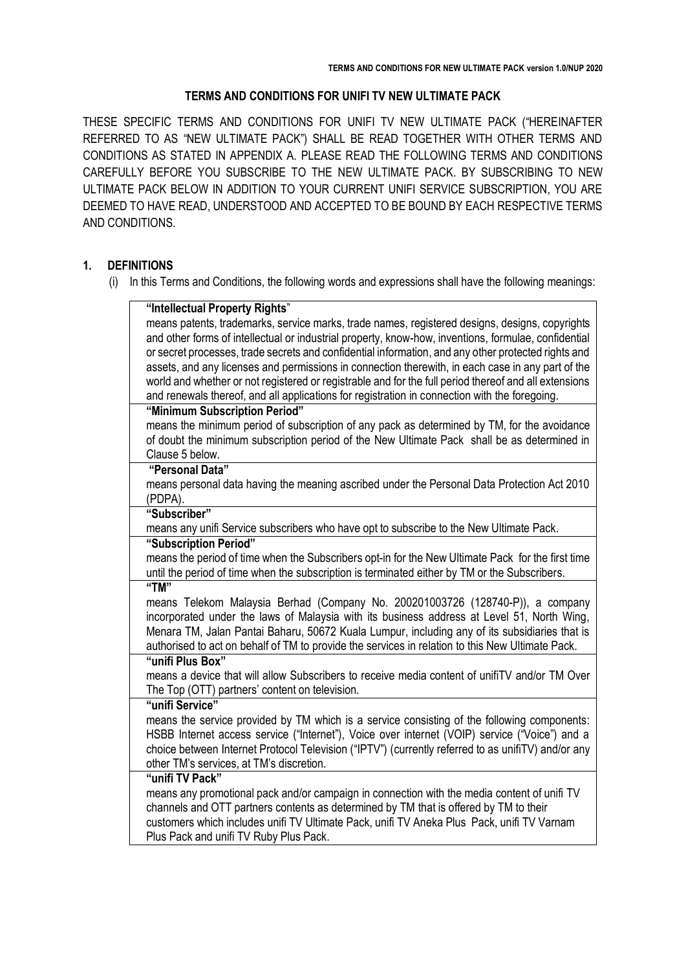#### **TERMS AND CONDITIONS FOR UNIFI TV NEW ULTIMATE PACK**

THESE SPECIFIC TERMS AND CONDITIONS FOR UNIFI TV NEW ULTIMATE PACK ("HEREINAFTER REFERRED TO AS "NEW ULTIMATE PACK") SHALL BE READ TOGETHER WITH OTHER TERMS AND CONDITIONS AS STATED IN APPENDIX A. PLEASE READ THE FOLLOWING TERMS AND CONDITIONS CAREFULLY BEFORE YOU SUBSCRIBE TO THE NEW ULTIMATE PACK. BY SUBSCRIBING TO NEW ULTIMATE PACK BELOW IN ADDITION TO YOUR CURRENT UNIFI SERVICE SUBSCRIPTION, YOU ARE DEEMED TO HAVE READ, UNDERSTOOD AND ACCEPTED TO BE BOUND BY EACH RESPECTIVE TERMS AND CONDITIONS.

# **1. DEFINITIONS**

(i) In this Terms and Conditions, the following words and expressions shall have the following meanings:

| "Intellectual Property Rights"                                                                        |  |  |
|-------------------------------------------------------------------------------------------------------|--|--|
| means patents, trademarks, service marks, trade names, registered designs, designs, copyrights        |  |  |
| and other forms of intellectual or industrial property, know-how, inventions, formulae, confidential  |  |  |
| or secret processes, trade secrets and confidential information, and any other protected rights and   |  |  |
| assets, and any licenses and permissions in connection therewith, in each case in any part of the     |  |  |
| world and whether or not registered or registrable and for the full period thereof and all extensions |  |  |
| and renewals thereof, and all applications for registration in connection with the foregoing.         |  |  |
| "Minimum Subscription Period"                                                                         |  |  |
| means the minimum period of subscription of any pack as determined by TM, for the avoidance           |  |  |
| of doubt the minimum subscription period of the New Ultimate Pack shall be as determined in           |  |  |
| Clause 5 below.                                                                                       |  |  |
| "Personal Data"                                                                                       |  |  |
| means personal data having the meaning ascribed under the Personal Data Protection Act 2010           |  |  |
| (PDPA).                                                                                               |  |  |
| "Subscriber"                                                                                          |  |  |
| means any unifi Service subscribers who have opt to subscribe to the New Ultimate Pack.               |  |  |
| "Subscription Period"                                                                                 |  |  |
| means the period of time when the Subscribers opt-in for the New Ultimate Pack for the first time     |  |  |
| until the period of time when the subscription is terminated either by TM or the Subscribers.<br>"TM" |  |  |
| means Telekom Malaysia Berhad (Company No. 200201003726 (128740-P)), a company                        |  |  |
| incorporated under the laws of Malaysia with its business address at Level 51, North Wing,            |  |  |
| Menara TM, Jalan Pantai Baharu, 50672 Kuala Lumpur, including any of its subsidiaries that is         |  |  |
| authorised to act on behalf of TM to provide the services in relation to this New Ultimate Pack.      |  |  |
| "unifi Plus Box"                                                                                      |  |  |
| means a device that will allow Subscribers to receive media content of unifit V and/or TM Over        |  |  |
| The Top (OTT) partners' content on television.                                                        |  |  |
| "unifi Service"                                                                                       |  |  |
| means the service provided by TM which is a service consisting of the following components:           |  |  |
| HSBB Internet access service ("Internet"), Voice over internet (VOIP) service ("Voice") and a         |  |  |
| choice between Internet Protocol Television ("IPTV") (currently referred to as unifiTV) and/or any    |  |  |
| other TM's services, at TM's discretion.                                                              |  |  |
| "unifi TV Pack"                                                                                       |  |  |
| means any promotional pack and/or campaign in connection with the media content of unifi TV           |  |  |
| channels and OTT partners contents as determined by TM that is offered by TM to their                 |  |  |
| customers which includes unifi TV Ultimate Pack, unifi TV Aneka Plus Pack, unifi TV Varnam            |  |  |
| Plus Pack and unifi TV Ruby Plus Pack.                                                                |  |  |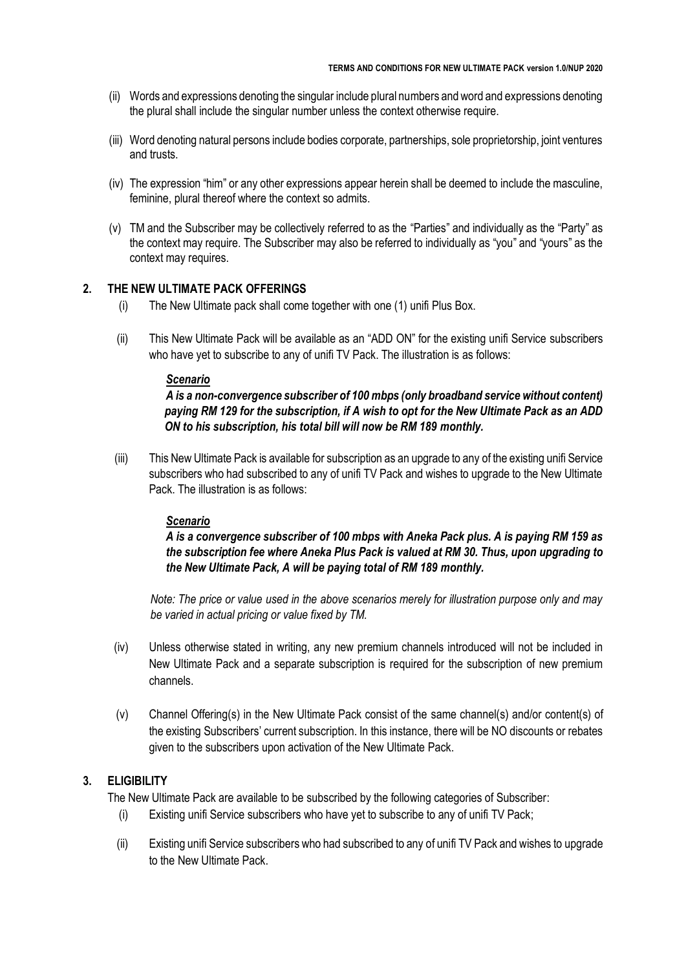- (ii) Words and expressions denoting the singular include plural numbers and word and expressions denoting the plural shall include the singular number unless the context otherwise require.
- (iii) Word denoting natural persons include bodies corporate, partnerships, sole proprietorship, joint ventures and trusts.
- (iv) The expression "him" or any other expressions appear herein shall be deemed to include the masculine, feminine, plural thereof where the context so admits.
- (v) TM and the Subscriber may be collectively referred to as the "Parties" and individually as the "Party" as the context may require. The Subscriber may also be referred to individually as "you" and "yours" as the context may requires.

#### 2. **THE NEW ULTIMATE PACK OFFERINGS**

- (i) The New Ultimate pack shall come together with one (1) unifi Plus Box.
- (ii) This New Ultimate Pack will be available as an "ADD ON" for the existing unifi Service subscribers who have yet to subscribe to any of unifi TV Pack. The illustration is as follows:

#### *Scenario*

*A is a non-convergence subscriber of 100 mbps (only broadband service without content) paying RM 129 for the subscription, if A wish to opt for the New Ultimate Pack as an ADD ON to his subscription, his total bill will now be RM 189 monthly.*

(iii) This New Ultimate Pack is available for subscription as an upgrade to any of the existing unifi Service subscribers who had subscribed to any of unifi TV Pack and wishes to upgrade to the New Ultimate Pack. The illustration is as follows:

#### *Scenario*

*A is a convergence subscriber of 100 mbps with Aneka Pack plus. A is paying RM 159 as the subscription fee where Aneka Plus Pack is valued at RM 30. Thus, upon upgrading to the New Ultimate Pack, A will be paying total of RM 189 monthly.*

*Note: The price or value used in the above scenarios merely for illustration purpose only and may be varied in actual pricing or value fixed by TM.*

- (iv) Unless otherwise stated in writing, any new premium channels introduced will not be included in New Ultimate Pack and a separate subscription is required for the subscription of new premium channels.
- (v) Channel Offering(s) in the New Ultimate Pack consist of the same channel(s) and/or content(s) of the existing Subscribers' current subscription. In this instance, there will be NO discounts or rebates given to the subscribers upon activation of the New Ultimate Pack.

# **3. ELIGIBILITY**

The New Ultimate Pack are available to be subscribed by the following categories of Subscriber:

- (i) Existing unifi Service subscribers who have yet to subscribe to any of unifi TV Pack;
- (ii) Existing unifi Service subscribers who had subscribed to any of unifi TV Pack and wishes to upgrade to the New Ultimate Pack.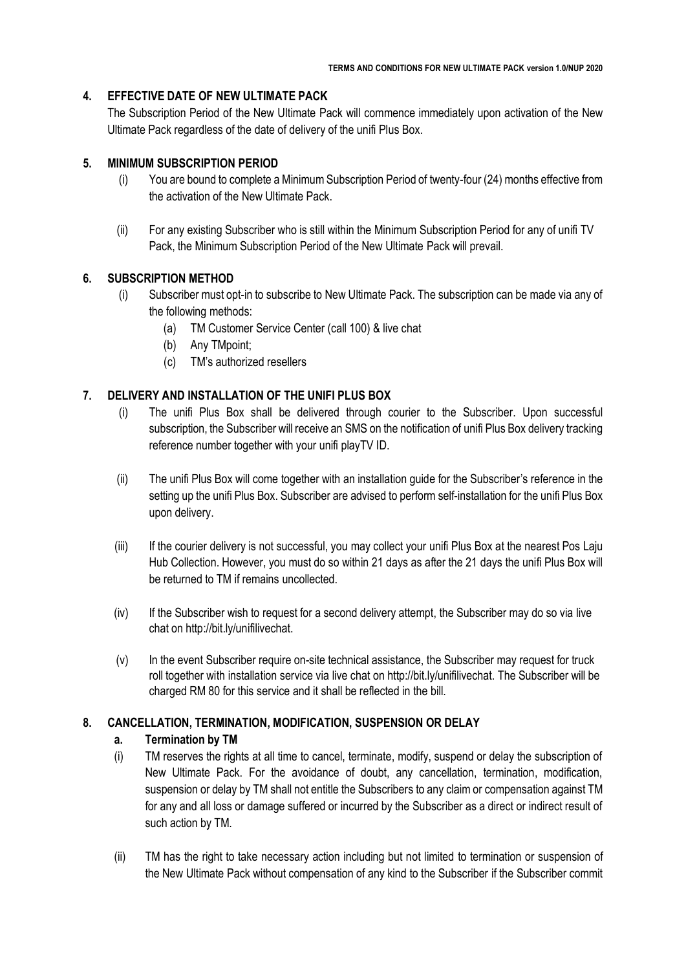# **4. EFFECTIVE DATE OF NEW ULTIMATE PACK**

The Subscription Period of the New Ultimate Pack will commence immediately upon activation of the New Ultimate Pack regardless of the date of delivery of the unifi Plus Box.

# **5. MINIMUM SUBSCRIPTION PERIOD**

- (i) You are bound to complete a Minimum Subscription Period of twenty-four (24) months effective from the activation of the New Ultimate Pack.
- (ii) For any existing Subscriber who is still within the Minimum Subscription Period for any of unifi TV Pack, the Minimum Subscription Period of the New Ultimate Pack will prevail.

# **6. SUBSCRIPTION METHOD**

- (i) Subscriber must opt-in to subscribe to New Ultimate Pack. The subscription can be made via any of the following methods:
	- (a) TM Customer Service Center (call 100) & live chat
	- (b) Any TMpoint;
	- (c) TM's authorized resellers

# **7. DELIVERY AND INSTALLATION OF THE UNIFI PLUS BOX**

- (i) The unifi Plus Box shall be delivered through courier to the Subscriber. Upon successful subscription, the Subscriber will receive an SMS on the notification of unifi Plus Box delivery tracking reference number together with your unifi playTV ID.
- (ii) The unifi Plus Box will come together with an installation guide for the Subscriber's reference in the setting up the unifi Plus Box. Subscriber are advised to perform self-installation for the unifi Plus Box upon delivery.
- (iii) If the courier delivery is not successful, you may collect your unifi Plus Box at the nearest Pos Laju Hub Collection. However, you must do so within 21 days as after the 21 days the unifi Plus Box will be returned to TM if remains uncollected.
- (iv) If the Subscriber wish to request for a second delivery attempt, the Subscriber may do so via live chat on http://bit.ly/unifilivechat.
- (v) In the event Subscriber require on-site technical assistance, the Subscriber may request for truck roll together with installation service via live chat on http://bit.ly/unifilivechat. The Subscriber will be charged RM 80 for this service and it shall be reflected in the bill.

# **8. CANCELLATION, TERMINATION, MODIFICATION, SUSPENSION OR DELAY**

# **a. Termination by TM**

- (i) TM reserves the rights at all time to cancel, terminate, modify, suspend or delay the subscription of New Ultimate Pack. For the avoidance of doubt, any cancellation, termination, modification, suspension or delay by TM shall not entitle the Subscribers to any claim or compensation against TM for any and all loss or damage suffered or incurred by the Subscriber as a direct or indirect result of such action by TM.
- (ii) TM has the right to take necessary action including but not limited to termination or suspension of the New Ultimate Pack without compensation of any kind to the Subscriber if the Subscriber commit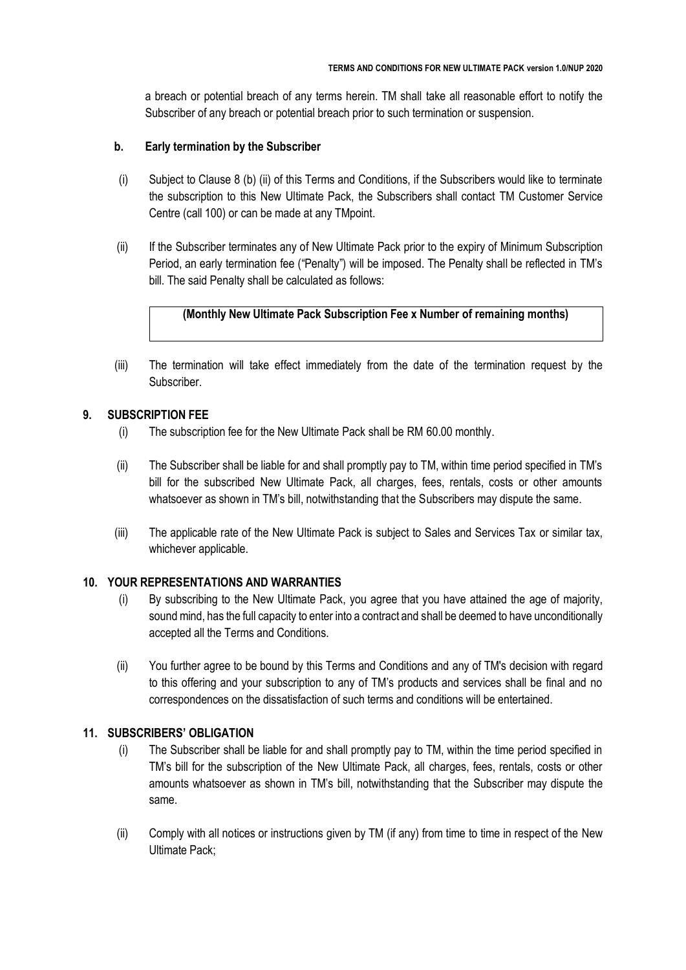a breach or potential breach of any terms herein. TM shall take all reasonable effort to notify the Subscriber of any breach or potential breach prior to such termination or suspension.

#### **b. Early termination by the Subscriber**

- (i) Subject to Clause 8 (b) (ii) of this Terms and Conditions, if the Subscribers would like to terminate the subscription to this New Ultimate Pack, the Subscribers shall contact TM Customer Service Centre (call 100) or can be made at any TMpoint.
- (ii) If the Subscriber terminates any of New Ultimate Pack prior to the expiry of Minimum Subscription Period, an early termination fee ("Penalty") will be imposed. The Penalty shall be reflected in TM's bill. The said Penalty shall be calculated as follows:

# **(Monthly New Ultimate Pack Subscription Fee x Number of remaining months)**

(iii) The termination will take effect immediately from the date of the termination request by the Subscriber.

# **9. SUBSCRIPTION FEE**

- (i) The subscription fee for the New Ultimate Pack shall be RM 60.00 monthly.
- (ii) The Subscriber shall be liable for and shall promptly pay to TM, within time period specified in TM's bill for the subscribed New Ultimate Pack, all charges, fees, rentals, costs or other amounts whatsoever as shown in TM's bill, notwithstanding that the Subscribers may dispute the same.
- (iii) The applicable rate of the New Ultimate Pack is subject to Sales and Services Tax or similar tax, whichever applicable.

# **10. YOUR REPRESENTATIONS AND WARRANTIES**

- (i) By subscribing to the New Ultimate Pack, you agree that you have attained the age of majority, sound mind, has the full capacity to enter into a contract and shall be deemed to have unconditionally accepted all the Terms and Conditions.
- (ii) You further agree to be bound by this Terms and Conditions and any of TM's decision with regard to this offering and your subscription to any of TM's products and services shall be final and no correspondences on the dissatisfaction of such terms and conditions will be entertained.

# **11. SUBSCRIBERS' OBLIGATION**

- (i) The Subscriber shall be liable for and shall promptly pay to TM, within the time period specified in TM's bill for the subscription of the New Ultimate Pack, all charges, fees, rentals, costs or other amounts whatsoever as shown in TM's bill, notwithstanding that the Subscriber may dispute the same.
- (ii) Comply with all notices or instructions given by TM (if any) from time to time in respect of the New Ultimate Pack;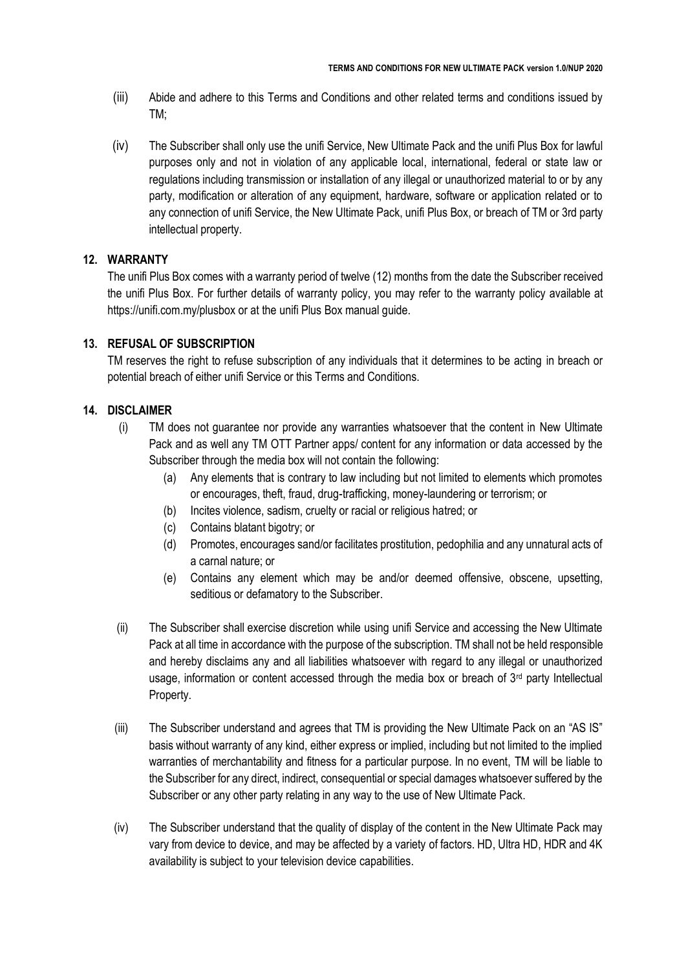- (iii) Abide and adhere to this Terms and Conditions and other related terms and conditions issued by TM;
- (iv) The Subscriber shall only use the unifi Service, New Ultimate Pack and the unifi Plus Box for lawful purposes only and not in violation of any applicable local, international, federal or state law or regulations including transmission or installation of any illegal or unauthorized material to or by any party, modification or alteration of any equipment, hardware, software or application related or to any connection of unifi Service, the New Ultimate Pack, unifi Plus Box, or breach of TM or 3rd party intellectual property.

#### **12. WARRANTY**

The unifi Plus Box comes with a warranty period of twelve (12) months from the date the Subscriber received the unifi Plus Box. For further details of warranty policy, you may refer to the warranty policy available at https://unifi.com.my/plusbox or at the unifi Plus Box manual guide.

#### **13. REFUSAL OF SUBSCRIPTION**

TM reserves the right to refuse subscription of any individuals that it determines to be acting in breach or potential breach of either unifi Service or this Terms and Conditions.

#### **14. DISCLAIMER**

- (i) TM does not guarantee nor provide any warranties whatsoever that the content in New Ultimate Pack and as well any TM OTT Partner apps/ content for any information or data accessed by the Subscriber through the media box will not contain the following:
	- (a) Any elements that is contrary to law including but not limited to elements which promotes or encourages, theft, fraud, drug-trafficking, money-laundering or terrorism; or
	- (b) Incites violence, sadism, cruelty or racial or religious hatred; or
	- (c) Contains blatant bigotry; or
	- (d) Promotes, encourages sand/or facilitates prostitution, pedophilia and any unnatural acts of a carnal nature; or
	- (e) Contains any element which may be and/or deemed offensive, obscene, upsetting, seditious or defamatory to the Subscriber.
- (ii) The Subscriber shall exercise discretion while using unifi Service and accessing the New Ultimate Pack at all time in accordance with the purpose of the subscription. TM shall not be held responsible and hereby disclaims any and all liabilities whatsoever with regard to any illegal or unauthorized usage, information or content accessed through the media box or breach of  $3<sup>rd</sup>$  party Intellectual Property.
- (iii) The Subscriber understand and agrees that TM is providing the New Ultimate Pack on an "AS IS" basis without warranty of any kind, either express or implied, including but not limited to the implied warranties of merchantability and fitness for a particular purpose. In no event, TM will be liable to the Subscriber for any direct, indirect, consequential or special damages whatsoever suffered by the Subscriber or any other party relating in any way to the use of New Ultimate Pack.
- (iv) The Subscriber understand that the quality of display of the content in the New Ultimate Pack may vary from device to device, and may be affected by a variety of factors. HD, Ultra HD, HDR and 4K availability is subject to your television device capabilities.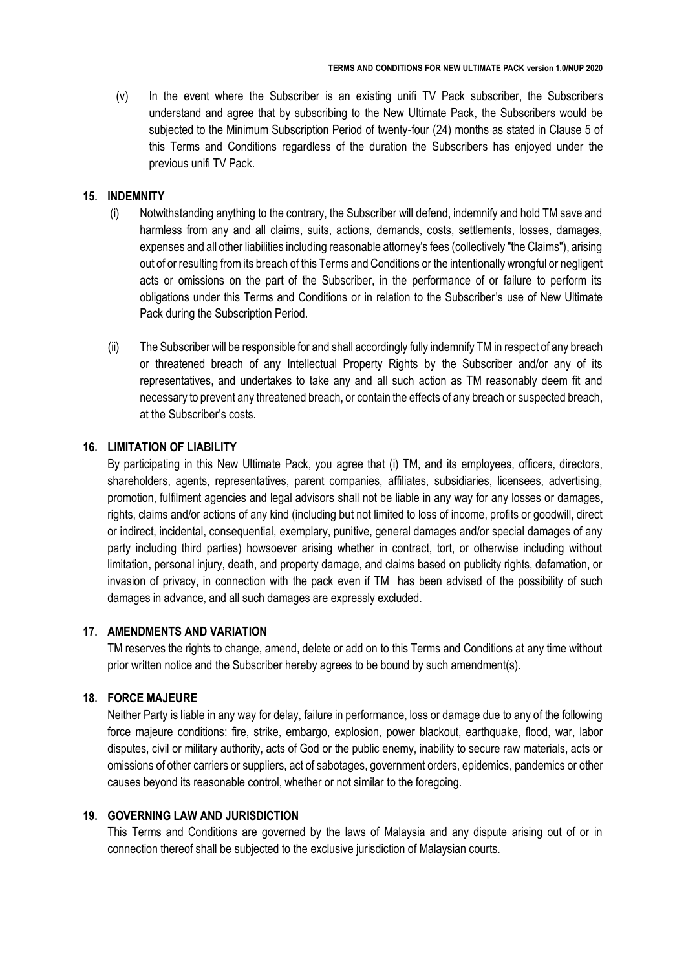(v) In the event where the Subscriber is an existing unifi TV Pack subscriber, the Subscribers understand and agree that by subscribing to the New Ultimate Pack, the Subscribers would be subjected to the Minimum Subscription Period of twenty-four (24) months as stated in Clause 5 of this Terms and Conditions regardless of the duration the Subscribers has enjoyed under the previous unifi TV Pack.

#### **15. INDEMNITY**

- (i) Notwithstanding anything to the contrary, the Subscriber will defend, indemnify and hold TM save and harmless from any and all claims, suits, actions, demands, costs, settlements, losses, damages, expenses and all other liabilities including reasonable attorney's fees (collectively "the Claims"), arising out of or resulting from its breach of this Terms and Conditions or the intentionally wrongful or negligent acts or omissions on the part of the Subscriber, in the performance of or failure to perform its obligations under this Terms and Conditions or in relation to the Subscriber's use of New Ultimate Pack during the Subscription Period.
- (ii) The Subscriber will be responsible for and shall accordingly fully indemnify TM in respect of any breach or threatened breach of any Intellectual Property Rights by the Subscriber and/or any of its representatives, and undertakes to take any and all such action as TM reasonably deem fit and necessary to prevent any threatened breach, or contain the effects of any breach or suspected breach, at the Subscriber's costs.

#### **16. LIMITATION OF LIABILITY**

By participating in this New Ultimate Pack, you agree that (i) TM, and its employees, officers, directors, shareholders, agents, representatives, parent companies, affiliates, subsidiaries, licensees, advertising, promotion, fulfilment agencies and legal advisors shall not be liable in any way for any losses or damages, rights, claims and/or actions of any kind (including but not limited to loss of income, profits or goodwill, direct or indirect, incidental, consequential, exemplary, punitive, general damages and/or special damages of any party including third parties) howsoever arising whether in contract, tort, or otherwise including without limitation, personal injury, death, and property damage, and claims based on publicity rights, defamation, or invasion of privacy, in connection with the pack even if TM has been advised of the possibility of such damages in advance, and all such damages are expressly excluded.

#### **17. AMENDMENTS AND VARIATION**

TM reserves the rights to change, amend, delete or add on to this Terms and Conditions at any time without prior written notice and the Subscriber hereby agrees to be bound by such amendment(s).

#### **18. FORCE MAJEURE**

Neither Party is liable in any way for delay, failure in performance, loss or damage due to any of the following force majeure conditions: fire, strike, embargo, explosion, power blackout, earthquake, flood, war, labor disputes, civil or military authority, acts of God or the public enemy, inability to secure raw materials, acts or omissions of other carriers or suppliers, act of sabotages, government orders, epidemics, pandemics or other causes beyond its reasonable control, whether or not similar to the foregoing.

# **19. GOVERNING LAW AND JURISDICTION**

This Terms and Conditions are governed by the laws of Malaysia and any dispute arising out of or in connection thereof shall be subjected to the exclusive jurisdiction of Malaysian courts.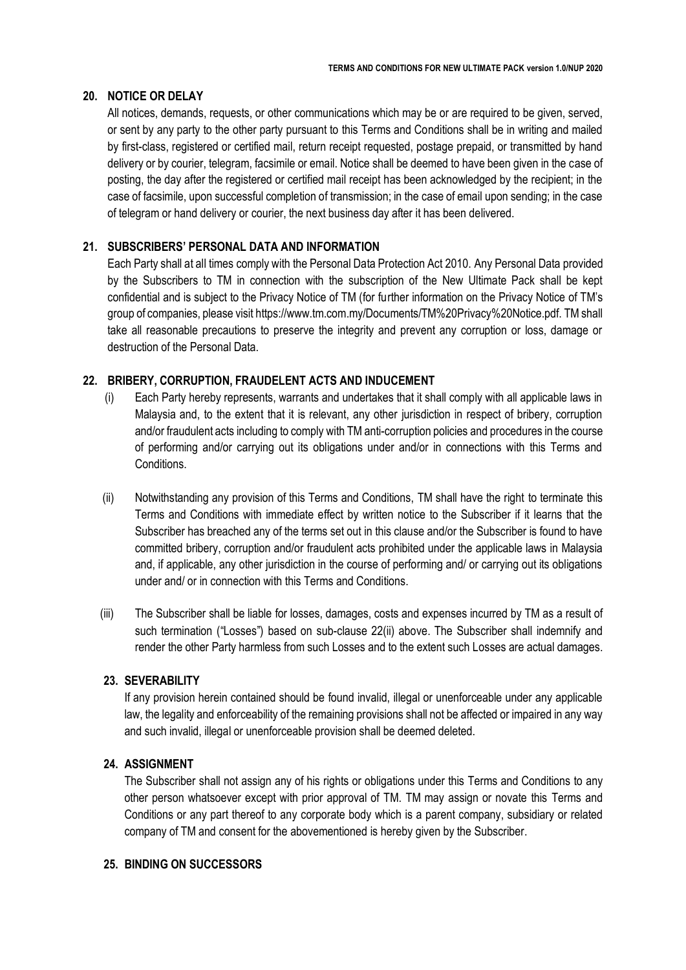#### **20. NOTICE OR DELAY**

All notices, demands, requests, or other communications which may be or are required to be given, served, or sent by any party to the other party pursuant to this Terms and Conditions shall be in writing and mailed by first-class, registered or certified mail, return receipt requested, postage prepaid, or transmitted by hand delivery or by courier, telegram, facsimile or email. Notice shall be deemed to have been given in the case of posting, the day after the registered or certified mail receipt has been acknowledged by the recipient; in the case of facsimile, upon successful completion of transmission; in the case of email upon sending; in the case of telegram or hand delivery or courier, the next business day after it has been delivered.

# **21. SUBSCRIBERS' PERSONAL DATA AND INFORMATION**

Each Party shall at all times comply with the Personal Data Protection Act 2010. Any Personal Data provided by the Subscribers to TM in connection with the subscription of the New Ultimate Pack shall be kept confidential and is subject to the Privacy Notice of TM (for further information on the Privacy Notice of TM's group of companies, please visit https://www.tm.com.my/Documents/TM%20Privacy%20Notice.pdf. TM shall take all reasonable precautions to preserve the integrity and prevent any corruption or loss, damage or destruction of the Personal Data.

# **22. BRIBERY, CORRUPTION, FRAUDELENT ACTS AND INDUCEMENT**

- (i) Each Party hereby represents, warrants and undertakes that it shall comply with all applicable laws in Malaysia and, to the extent that it is relevant, any other jurisdiction in respect of bribery, corruption and/or fraudulent acts including to comply with TM anti-corruption policies and procedures in the course of performing and/or carrying out its obligations under and/or in connections with this Terms and **Conditions**
- (ii) Notwithstanding any provision of this Terms and Conditions, TM shall have the right to terminate this Terms and Conditions with immediate effect by written notice to the Subscriber if it learns that the Subscriber has breached any of the terms set out in this clause and/or the Subscriber is found to have committed bribery, corruption and/or fraudulent acts prohibited under the applicable laws in Malaysia and, if applicable, any other jurisdiction in the course of performing and/ or carrying out its obligations under and/ or in connection with this Terms and Conditions.
- (iii) The Subscriber shall be liable for losses, damages, costs and expenses incurred by TM as a result of such termination ("Losses") based on sub-clause 22(ii) above. The Subscriber shall indemnify and render the other Party harmless from such Losses and to the extent such Losses are actual damages.

#### **23. SEVERABILITY**

If any provision herein contained should be found invalid, illegal or unenforceable under any applicable law, the legality and enforceability of the remaining provisions shall not be affected or impaired in any way and such invalid, illegal or unenforceable provision shall be deemed deleted.

# **24. ASSIGNMENT**

The Subscriber shall not assign any of his rights or obligations under this Terms and Conditions to any other person whatsoever except with prior approval of TM. TM may assign or novate this Terms and Conditions or any part thereof to any corporate body which is a parent company, subsidiary or related company of TM and consent for the abovementioned is hereby given by the Subscriber.

# **25. BINDING ON SUCCESSORS**